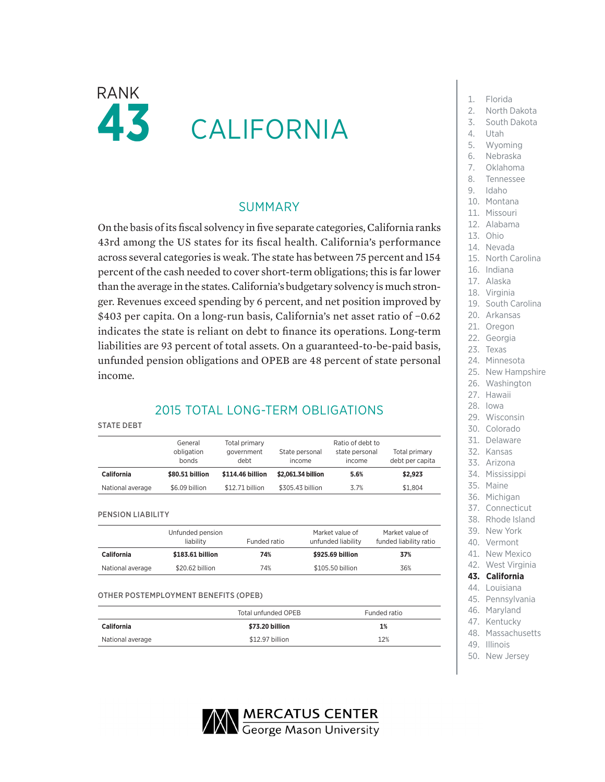

## SUMMARY

On the basis of its fiscal solvency in five separate categories, California ranks 43rd among the US states for its fiscal health. California's performance across several categories is weak. The state has between 75 percent and 154 percent of the cash needed to cover short-term obligations; this is far lower than the average in the states. California's budgetary solvency is much stronger. Revenues exceed spending by 6 percent, and net position improved by \$403 per capita. On a long-run basis, California's net asset ratio of −0.62 indicates the state is reliant on debt to finance its operations. Long-term liabilities are 93 percent of total assets. On a guaranteed-to-be-paid basis, unfunded pension obligations and OPEB are 48 percent of state personal income.

## 2015 TOTAL LONG-TERM OBLIGATIONS

#### STATE DEBT

|                   | General<br>obligation<br>bonds | Total primary<br>government<br>debt | State personal<br>income | Ratio of debt to<br>state personal<br>income | Total primary<br>debt per capita |
|-------------------|--------------------------------|-------------------------------------|--------------------------|----------------------------------------------|----------------------------------|
| <b>California</b> | \$80,51 billion                | \$114.46 billion                    | \$2,061.34 billion       | 5.6%                                         | \$2.923                          |
| National average  | \$6.09 billion                 | \$12.71 billion                     | \$305.43 billion         | 3.7%                                         | \$1.804                          |

#### PENSION LIABILITY

|                  | Unfunded pension<br>liability | Funded ratio | Market value of<br>unfunded liability | Market value of<br>funded liability ratio |
|------------------|-------------------------------|--------------|---------------------------------------|-------------------------------------------|
| California       | \$183.61 billion              | 74%          | \$925.69 billion                      | 37%                                       |
| National average | \$20.62 billion               | 74%          | \$105.50 billion                      | 36%                                       |

### OTHER POSTEMPLOYMENT BENEFITS (OPEB)

|                  | Total unfunded OPEB | Funded ratio |
|------------------|---------------------|--------------|
| California       | \$73.20 billion     | 1%           |
| National average | \$12.97 billion     | 12%          |

- 1. Florida
- 2. North Dakota
- 3. South Dakota
- 4. Utah
- 5. Wyoming
- 6. Nebraska
- 7. Oklahoma
- 8. Tennessee
- 9. Idaho
- 
- 10. Montana
- 11. Missouri
- 12. Alabama
- 13. Ohio
- 14. Nevada
- 15. North Carolina
- 16. Indiana
- 17. Alaska
- 18. Virginia
- 19. South Carolina
- 20. Arkansas
- 21. Oregon
- 22. Georgia
- 23. Texas
- 24. Minnesota
- 25. New Hampshire
- 26. Washington
- 27. Hawaii
- 28. Iowa
- 29. Wisconsin
- 30. Colorado
- 31. Delaware
- 32. Kansas
- 33. Arizona
- 34. Mississippi
- 35. Maine
- 36. Michigan
- 37. Connecticut
- 38. Rhode Island
- 39. New York
- 40. Vermont
- 41. New Mexico
- 42. West Virginia
- **43. California**
- 44. Louisiana
- 45. Pennsylvania
- 46. Maryland
- 47. Kentucky
- 48. Massachusetts
- 49. Illinois
- 50. New Jersey